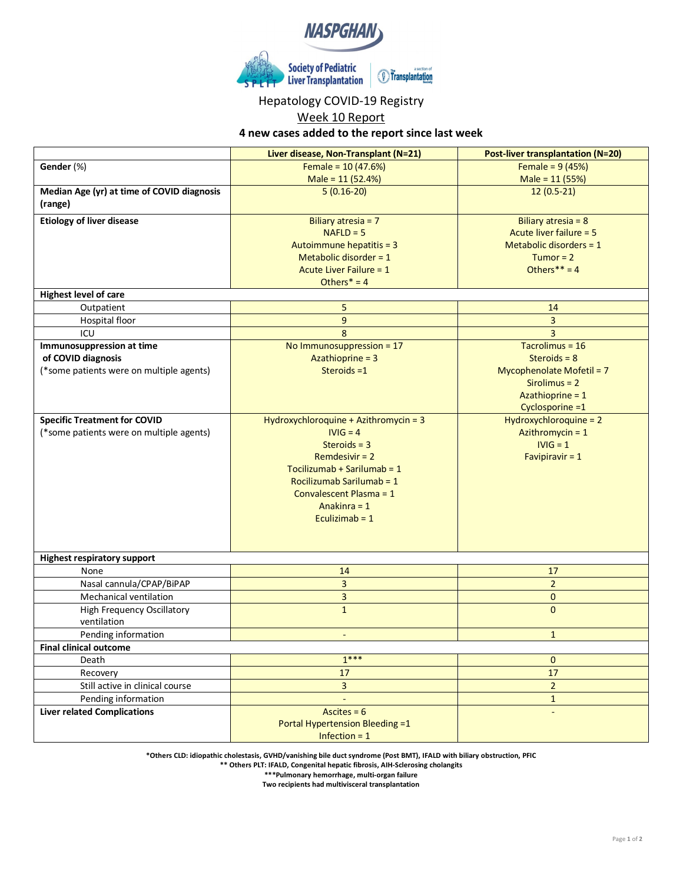

## Hepatology COVID-19 Registry

Week 10 Report

**4 new cases added to the report since last week**

|                                                       | Liver disease, Non-Transplant (N=21)  | <b>Post-liver transplantation (N=20)</b>  |
|-------------------------------------------------------|---------------------------------------|-------------------------------------------|
| Gender (%)                                            | Female = $10(47.6%)$                  | Female = $9(45%)$                         |
|                                                       | Male = 11 (52.4%)                     | Male = 11 (55%)                           |
| Median Age (yr) at time of COVID diagnosis<br>(range) | $5(0.16-20)$                          | $12(0.5-21)$                              |
| <b>Etiology of liver disease</b>                      | Biliary atresia = 7                   | Biliary atresia = 8                       |
|                                                       | $NAFLD = 5$                           | Acute liver failure = 5                   |
|                                                       | Autoimmune hepatitis = 3              | Metabolic disorders $= 1$                 |
|                                                       | Metabolic disorder = $1$              | Tumor = $2$                               |
|                                                       | <b>Acute Liver Failure = 1</b>        | Others** = $4$                            |
|                                                       | Others $* = 4$                        |                                           |
| <b>Highest level of care</b>                          |                                       |                                           |
| Outpatient                                            | 5                                     | 14                                        |
| Hospital floor                                        | 9                                     | 3                                         |
| ICU                                                   | 8                                     | 3                                         |
| Immunosuppression at time                             | No Immunosuppression = 17             | Tacrolimus = 16                           |
| of COVID diagnosis                                    | Azathioprine = 3                      | Steroids = $8$                            |
| (*some patients were on multiple agents)              | Steroids $=1$                         | Mycophenolate Mofetil = 7                 |
|                                                       |                                       | $Sirolimus = 2$                           |
|                                                       |                                       | Azathioprine = 1                          |
| <b>Specific Treatment for COVID</b>                   | Hydroxychloroquine + Azithromycin = 3 | Cyclosporine =1<br>Hydroxychloroquine = 2 |
| (*some patients were on multiple agents)              | $IVIG = 4$                            | Azithromycin = 1                          |
|                                                       | Steroids = $3$                        | $IVIG = 1$                                |
|                                                       | Remdesivir $= 2$                      | Favipiravir = $1$                         |
|                                                       | Tocilizumab + Sarilumab = $1$         |                                           |
|                                                       | Rocilizumab Sarilumab = 1             |                                           |
|                                                       | Convalescent Plasma = 1               |                                           |
|                                                       | Anakinra = 1                          |                                           |
|                                                       | Eculizimab = $1$                      |                                           |
|                                                       |                                       |                                           |
|                                                       |                                       |                                           |
| <b>Highest respiratory support</b>                    |                                       |                                           |
| None                                                  | 14                                    | 17                                        |
| Nasal cannula/CPAP/BiPAP                              | $\overline{3}$                        | $\overline{2}$                            |
| <b>Mechanical ventilation</b>                         | 3                                     | 0                                         |
| <b>High Frequency Oscillatory</b>                     | $\mathbf{1}$                          | $\Omega$                                  |
| ventilation                                           |                                       |                                           |
| Pending information                                   | $\overline{\phantom{a}}$              | $\mathbf{1}$                              |
| <b>Final clinical outcome</b>                         |                                       |                                           |
| Death                                                 | $1***$                                | 0                                         |
| Recovery                                              | 17                                    | 17                                        |
| Still active in clinical course                       | $\overline{3}$                        | $\overline{2}$                            |
| Pending information                                   |                                       | $\mathbf{1}$                              |
| <b>Liver related Complications</b>                    | Ascites = $6$                         |                                           |
|                                                       | Portal Hypertension Bleeding =1       |                                           |
|                                                       | Infection = $1$                       |                                           |

**\*Others CLD: idiopathic cholestasis, GVHD/vanishing bile duct syndrome (Post BMT), IFALD with biliary obstruction, PFIC**

**\*\* Others PLT: IFALD, Congenital hepatic fibrosis, AIH-Sclerosing cholangits**

**\*\*\*Pulmonary hemorrhage, multi-organ failure Two recipients had multivisceral transplantation**